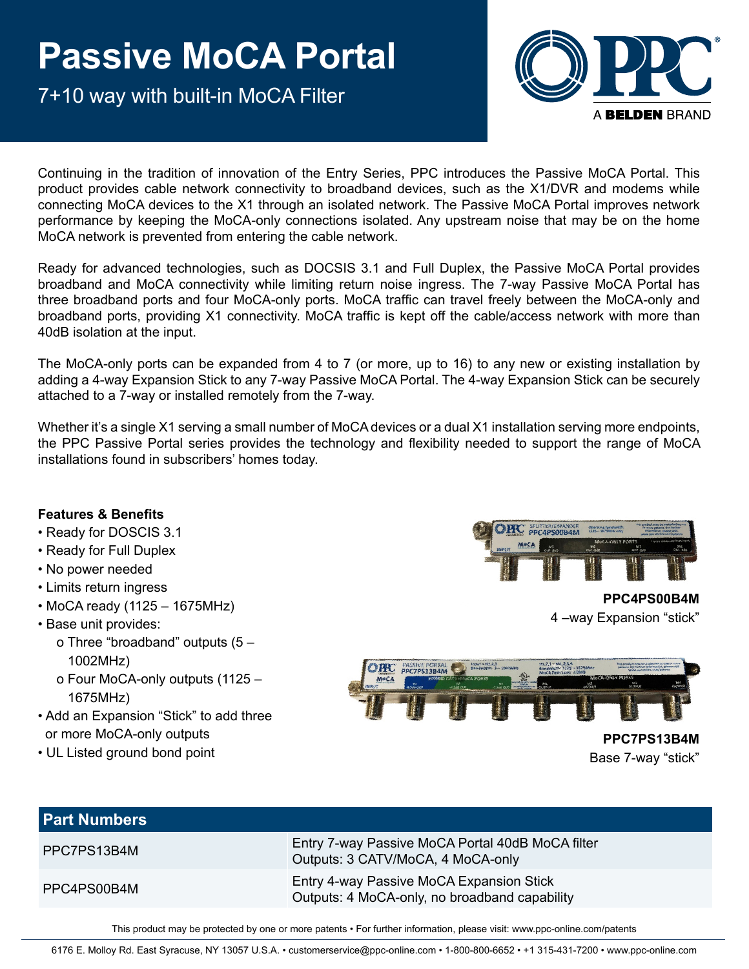7+10 way with built-in MoCA Filter



Continuing in the tradition of innovation of the Entry Series, PPC introduces the Passive MoCA Portal. This product provides cable network connectivity to broadband devices, such as the X1/DVR and modems while connecting MoCA devices to the X1 through an isolated network. The Passive MoCA Portal improves network performance by keeping the MoCA-only connections isolated. Any upstream noise that may be on the home MoCA network is prevented from entering the cable network.

Ready for advanced technologies, such as DOCSIS 3.1 and Full Duplex, the Passive MoCA Portal provides broadband and MoCA connectivity while limiting return noise ingress. The 7-way Passive MoCA Portal has three broadband ports and four MoCA-only ports. MoCA traffic can travel freely between the MoCA-only and broadband ports, providing X1 connectivity. MoCA traffic is kept off the cable/access network with more than 40dB isolation at the input.

The MoCA-only ports can be expanded from 4 to 7 (or more, up to 16) to any new or existing installation by adding a 4-way Expansion Stick to any 7-way Passive MoCA Portal. The 4-way Expansion Stick can be securely attached to a 7-way or installed remotely from the 7-way.

Whether it's a single X1 serving a small number of MoCA devices or a dual X1 installation serving more endpoints, the PPC Passive Portal series provides the technology and flexibility needed to support the range of MoCA installations found in subscribers' homes today.

#### **Features & Benefits**

- Ready for DOSCIS 3.1
- Ready for Full Duplex
- No power needed
- Limits return ingress
- MoCA ready (1125 1675MHz)
- Base unit provides:
	- o Three "broadband" outputs (5 1002MHz)
	- o Four MoCA-only outputs (1125 1675MHz)
- Add an Expansion "Stick" to add three or more MoCA-only outputs
- UL Listed ground bond point



**PPC4PS00B4M** 4 –way Expansion "stick"



Base 7-way "stick"

| <b>Part Numbers</b> |                                                                                           |
|---------------------|-------------------------------------------------------------------------------------------|
| PPC7PS13B4M         | Entry 7-way Passive MoCA Portal 40dB MoCA filter<br>Outputs: 3 CATV/MoCA, 4 MoCA-only     |
| PPC4PS00B4M         | Entry 4-way Passive MoCA Expansion Stick<br>Outputs: 4 MoCA-only, no broadband capability |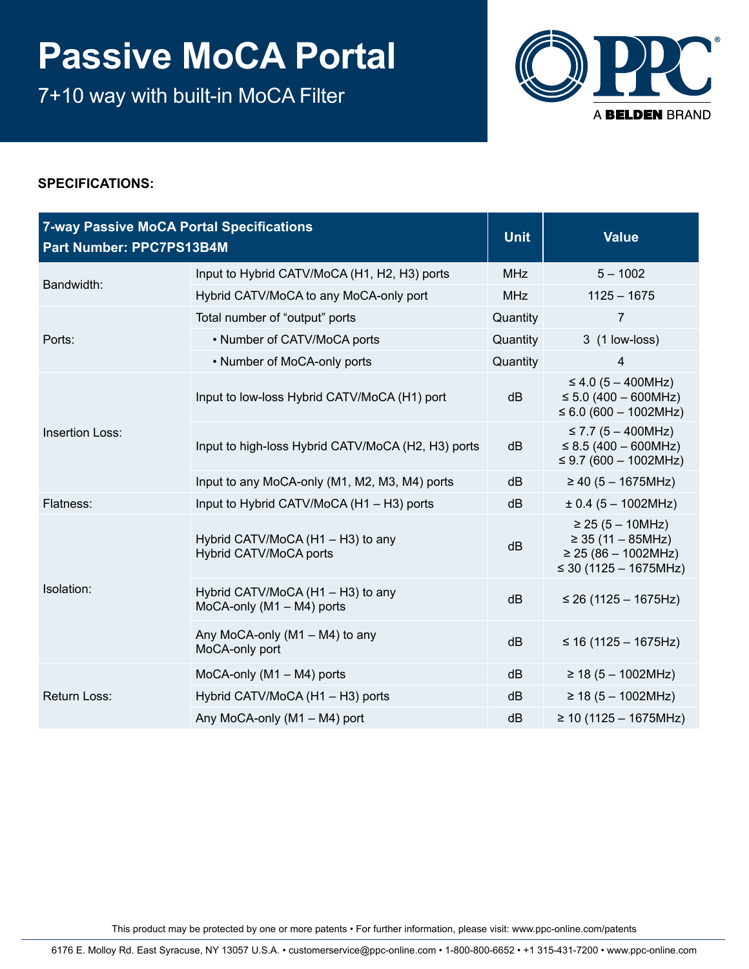7+10 way with built-in MoCA Filter



### **SPECIFICATIONS:**

| <b>7-way Passive MoCA Portal Specifications</b><br>Part Number: PPC7PS13B4M |                                                                  | <b>Unit</b> | <b>Value</b>                                                                                              |
|-----------------------------------------------------------------------------|------------------------------------------------------------------|-------------|-----------------------------------------------------------------------------------------------------------|
| Bandwidth:                                                                  | Input to Hybrid CATV/MoCA (H1, H2, H3) ports                     | <b>MHz</b>  | $5 - 1002$                                                                                                |
|                                                                             | Hybrid CATV/MoCA to any MoCA-only port                           |             | $1125 - 1675$                                                                                             |
|                                                                             | Total number of "output" ports                                   | Quantity    | $\overline{7}$                                                                                            |
| Ports:                                                                      | • Number of CATV/MoCA ports                                      | Quantity    | 3 (1 low-loss)                                                                                            |
|                                                                             | • Number of MoCA-only ports                                      | Quantity    | 4                                                                                                         |
| <b>Insertion Loss:</b>                                                      | Input to low-loss Hybrid CATV/MoCA (H1) port                     | dB          | $\leq$ 4.0 (5 – 400MHz)<br>$\leq$ 5.0 (400 – 600MHz)<br>≤ 6.0 (600 – 1002MHz)                             |
|                                                                             | Input to high-loss Hybrid CATV/MoCA (H2, H3) ports               | dB          | ≤ 7.7 $(5 – 400MHz)$<br>$\leq$ 8.5 (400 – 600MHz)<br>≤ 9.7 (600 – 1002MHz)                                |
|                                                                             | Input to any MoCA-only (M1, M2, M3, M4) ports                    | dB          | $\geq$ 40 (5 - 1675MHz)                                                                                   |
| Flatness:                                                                   | Input to Hybrid CATV/MoCA (H1 - H3) ports                        | dB          | $\pm$ 0.4 (5 – 1002MHz)                                                                                   |
| Isolation:                                                                  | Hybrid CATV/MoCA (H1 - H3) to any<br>Hybrid CATV/MoCA ports      | dB          | $\geq$ 25 (5 – 10MHz)<br>$\geq$ 35 (11 – 85MHz)<br>$\geq$ 25 (86 - 1002MHz)<br>$\leq$ 30 (1125 – 1675MHz) |
|                                                                             | Hybrid CATV/MoCA (H1 - H3) to any<br>MoCA-only $(M1 - M4)$ ports | dB          | $\leq$ 26 (1125 – 1675Hz)                                                                                 |
|                                                                             | Any MoCA-only (M1 - M4) to any<br>MoCA-only port                 | dB          | ≤ 16 (1125 – 1675Hz)                                                                                      |
| Return Loss:                                                                | MoCA-only (M1 - M4) ports                                        | dB          | $\geq$ 18 (5 - 1002MHz)                                                                                   |
|                                                                             | Hybrid CATV/MoCA (H1 - H3) ports                                 | dB          | $\geq$ 18 (5 - 1002MHz)                                                                                   |
|                                                                             | Any MoCA-only (M1 - M4) port                                     | dB          | $\geq$ 10 (1125 – 1675MHz)                                                                                |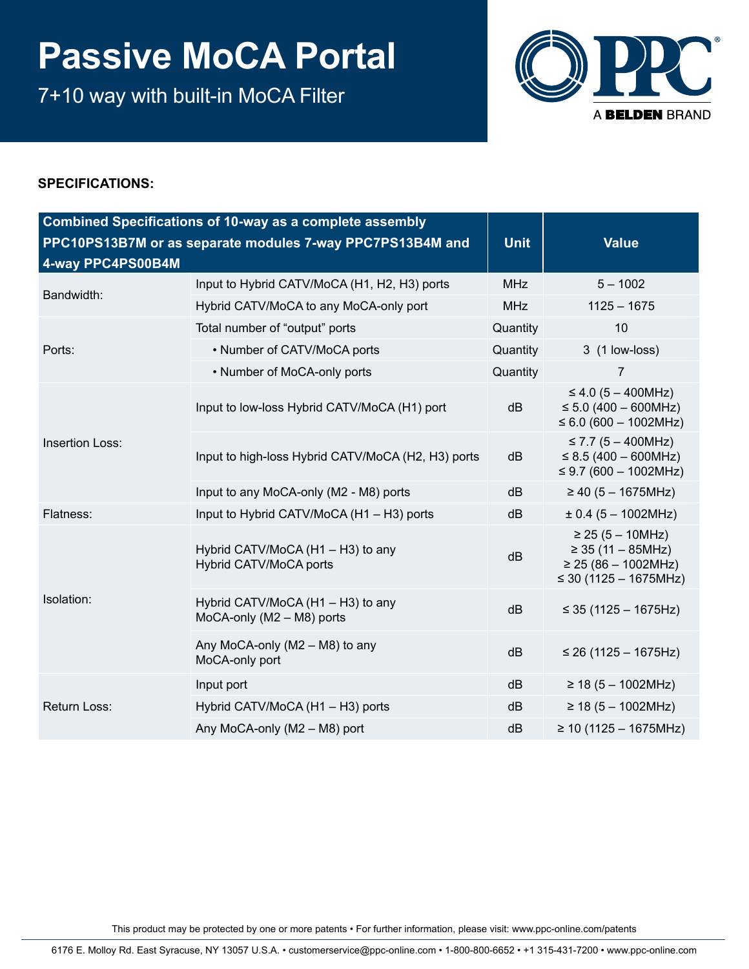7+10 way with built-in MoCA Filter



### **SPECIFICATIONS:**

| <b>Combined Specifications of 10-way as a complete assembly</b><br>PPC10PS13B7M or as separate modules 7-way PPC7PS13B4M and<br>4-way PPC4PS00B4M |                                                                |            | <b>Value</b>                                                                                              |
|---------------------------------------------------------------------------------------------------------------------------------------------------|----------------------------------------------------------------|------------|-----------------------------------------------------------------------------------------------------------|
| Bandwidth:                                                                                                                                        | Input to Hybrid CATV/MoCA (H1, H2, H3) ports                   | <b>MHz</b> | $5 - 1002$                                                                                                |
|                                                                                                                                                   | Hybrid CATV/MoCA to any MoCA-only port                         | <b>MHz</b> | $1125 - 1675$                                                                                             |
|                                                                                                                                                   | Total number of "output" ports                                 | Quantity   | 10                                                                                                        |
| Ports:                                                                                                                                            | • Number of CATV/MoCA ports                                    | Quantity   | 3 (1 low-loss)                                                                                            |
|                                                                                                                                                   | • Number of MoCA-only ports                                    | Quantity   | $\overline{7}$                                                                                            |
| <b>Insertion Loss:</b>                                                                                                                            | Input to low-loss Hybrid CATV/MoCA (H1) port                   | dB         | $\leq$ 4.0 (5 – 400MHz)<br>$\leq$ 5.0 (400 – 600MHz)<br>$\leq 6.0$ (600 – 1002MHz)                        |
|                                                                                                                                                   | Input to high-loss Hybrid CATV/MoCA (H2, H3) ports             | dB         | ≤ 7.7 $(5 – 400MHz)$<br>$\leq$ 8.5 (400 – 600MHz)<br>≤ 9.7 (600 – 1002MHz)                                |
|                                                                                                                                                   | Input to any MoCA-only (M2 - M8) ports                         | dB         | $\geq$ 40 (5 - 1675MHz)                                                                                   |
| Flatness:                                                                                                                                         | Input to Hybrid CATV/MoCA (H1 - H3) ports                      | dB         | $\pm$ 0.4 (5 – 1002MHz)                                                                                   |
| Isolation:                                                                                                                                        | Hybrid CATV/MoCA (H1 - H3) to any<br>Hybrid CATV/MoCA ports    | dB         | $\geq$ 25 (5 – 10MHz)<br>$\geq$ 35 (11 – 85MHz)<br>$\geq$ 25 (86 - 1002MHz)<br>$\leq$ 30 (1125 – 1675MHz) |
|                                                                                                                                                   | Hybrid CATV/MoCA (H1 - H3) to any<br>MoCA-only (M2 - M8) ports | dB         | $\leq$ 35 (1125 – 1675Hz)                                                                                 |
|                                                                                                                                                   | Any MoCA-only (M2 - M8) to any<br>MoCA-only port               | dB         | ≤ 26 (1125 – 1675Hz)                                                                                      |
| Return Loss:                                                                                                                                      | Input port                                                     | dB         | $\geq$ 18 (5 - 1002MHz)                                                                                   |
|                                                                                                                                                   | Hybrid CATV/MoCA (H1 - H3) ports                               | dB         | $\geq$ 18 (5 - 1002MHz)                                                                                   |
|                                                                                                                                                   | Any MoCA-only (M2 - M8) port                                   | dB         | ≥ 10 (1125 – 1675MHz)                                                                                     |